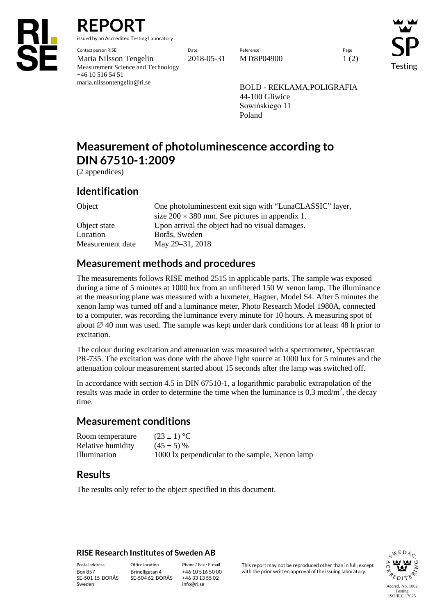

**REPORT**

issued by an Accredited Testing Laboratory

Contact person RISE Date Reference Page Maria Nilsson Tengelin 2018-05-31 MTt8P04900 1 (2) Measurement Science and Technology +46 10 516 54 51 maria.nilssontengelin@ri.se

Testing

BOLD - REKLAMA,POLIGRAFIA 44-100 Gliwice Sowińskiego 11 Poland

# **Measurement of photoluminescence according to DIN 67510-1:2009**

(2 appendices)

#### **Identification**

Object One photoluminescent exit sign with "LunaCLASSIC" layer, size  $200 \times 380$  mm. See pictures in appendix 1. Object state Upon arrival the object had no visual damages. Location Borås, Sweden Measurement date May 29–31, 2018

### **Measurement methods and procedures**

The measurements follows RISE method 2515 in applicable parts. The sample was exposed during a time of 5 minutes at 1000 lux from an unfiltered 150 W xenon lamp. The illuminance at the measuring plane was measured with a luxmeter, Hagner, Model S4. After 5 minutes the xenon lamp was turned off and a luminance meter, Photo Research Model 1980A, connected to a computer, was recording the luminance every minute for 10 hours. A measuring spot of about  $\varnothing$  40 mm was used. The sample was kept under dark conditions for at least 48 h prior to excitation.

The colour during excitation and attenuation was measured with a spectrometer, Spectrascan PR-735. The excitation was done with the above light source at 1000 lux for 5 minutes and the attenuation colour measurement started about 15 seconds after the lamp was switched off.

In accordance with section 4.5 in DIN 67510-1, a logarithmic parabolic extrapolation of the results was made in order to determine the time when the luminance is  $0,3 \text{ mod/m}^2$ , the decay time.

#### **Measurement conditions**

| Room temperature  | $(23 \pm 1)$ °C                                 |
|-------------------|-------------------------------------------------|
| Relative humidity | $(45 \pm 5)$ %                                  |
| Illumination      | 1000 lx perpendicular to the sample, Xenon lamp |

### **Results**

The results only refer to the object specified in this document.

#### **RISE Research Institutes of Sweden AB**

SE-501 15 BORÅS Sweden

Brinellgatan 4 SE-504 62 BORÅS

+46 10 516 50 00 +46 33 13 55 02 info@ri.se

Postal address Office location Phone / Fax / E-mail This report may not be reproduced other than in full, except Box 857 Brinellgatan 4 +46 10 516 50 00 with the prior written approval of the issuing laboratory.

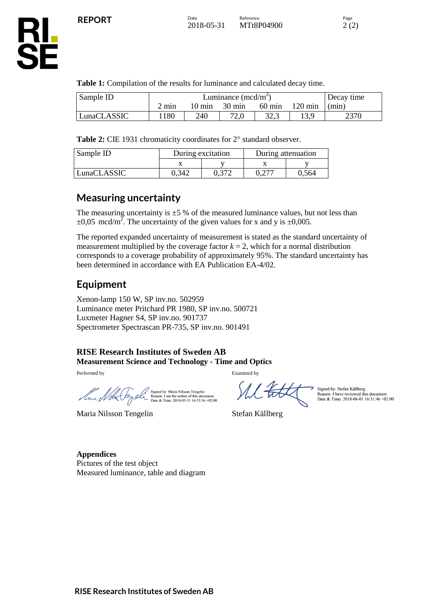SË

**Table 1:** Compilation of the results for luminance and calculated decay time.

| Sample ID   | Luminance $(\text{med/m}^2)$ |        |                  |                  | Decay time        |       |
|-------------|------------------------------|--------|------------------|------------------|-------------------|-------|
|             | $2 \text{ min}$              | 10 min | $30 \text{ min}$ | $60 \text{ min}$ | $120 \text{ min}$ | (min) |
| LunaCLASSIC | .180                         | 240    | 72,0             | ل کی ک           | ' 2 Q             | 2370  |

Table 2: CIE 1931 chromaticity coordinates for 2° standard observer.

| Sample ID   | During excitation |       | During attenuation |       |
|-------------|-------------------|-------|--------------------|-------|
|             |                   |       |                    |       |
| LunaCLASSIC | 0.342             | 0.372 |                    | 0.564 |

#### **Measuring uncertainty**

The measuring uncertainty is  $\pm$  5 % of the measured luminance values, but not less than  $\pm 0.05$  mcd/m<sup>2</sup>. The uncertainty of the given values for x and y is  $\pm 0.005$ .

The reported expanded uncertainty of measurement is stated as the standard uncertainty of measurement multiplied by the coverage factor  $k = 2$ , which for a normal distribution corresponds to a coverage probability of approximately 95%. The standard uncertainty has been determined in accordance with EA Publication EA-4/02.

### **Equipment**

Xenon-lamp 150 W, SP inv.no. 502959 Luminance meter Pritchard PR 1980, SP inv.no. 500721 Luxmeter Hagner S4, SP inv.no. 901737 Spectrometer Spectrascan PR-735, SP inv.no. 901491

#### **RISE Research Institutes of Sweden AB Measurement Science and Technology - Time and Optics**

Performed by Examined by Examined by

Mur Nobel

Signed by: Maria Nilsson Tengelin<br>Reason: I am the author of this document<br>Date & Time: 2018-05-31 16:53:16 +02:00

XL to

Signature 1 Signature 1 Signature 2 Signature 2 Signature 2 Signature 2 Signature 2 Signature 2 Signature 2 Si Maria Nilsson Tengelin Stefan Källberg

Signed by: Stefan Källberg<br>Reason: I have reviewed this document<br>Date & Time: 2018-06-01 16:31:46 +02:00

**Appendices** Pictures of the test object Measured luminance, table and diagram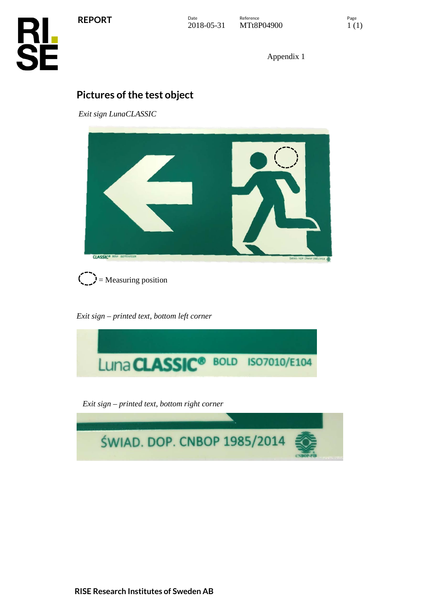**REPORT**



Appendix 1

## **Pictures of the test object**

*Exit sign LunaCLASSIC*





*Exit sign – printed text, bottom left corner*



*Exit sign – printed text, bottom right corner*